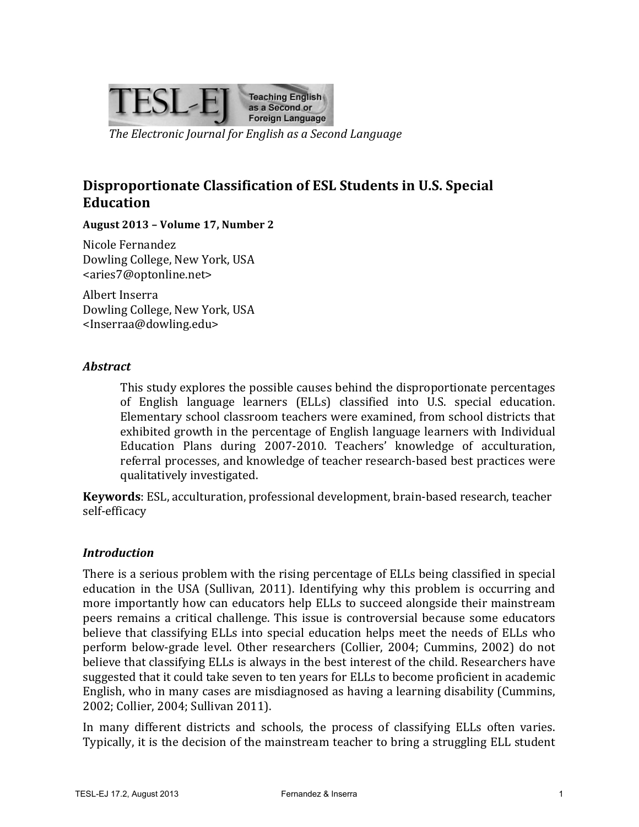

*The Electronic Journal for English as a Second Language* 

# **Disproportionate Classification of ESL Students in U.S. Special Education**

#### **August 2013 – Volume 17, Number 2**

Nicole Fernandez Dowling College, New York, USA <aries7@optonline.net>

Albert Inserra Dowling College, New York, USA <Inserraa@dowling.edu>

#### *Abstract*

This study explores the possible causes behind the disproportionate percentages of English language learners (ELLs) classified into U.S. special education. Elementary school classroom teachers were examined, from school districts that exhibited growth in the percentage of English language learners with Individual Education Plans during 2007-2010. Teachers' knowledge of acculturation, referral processes, and knowledge of teacher research-based best practices were qualitatively investigated.

**Keywords**: ESL, acculturation, professional development, brain-based research, teacher self-efficacy

#### *Introduction*

There is a serious problem with the rising percentage of ELLs being classified in special education in the USA (Sullivan, 2011). Identifying why this problem is occurring and more importantly how can educators help ELLs to succeed alongside their mainstream peers remains a critical challenge. This issue is controversial because some educators believe that classifying ELLs into special education helps meet the needs of ELLs who perform below-grade level. Other researchers (Collier, 2004; Cummins, 2002) do not believe that classifying ELLs is always in the best interest of the child. Researchers have suggested that it could take seven to ten years for ELLs to become proficient in academic English, who in many cases are misdiagnosed as having a learning disability (Cummins, 2002; Collier, 2004; Sullivan 2011).

In many different districts and schools, the process of classifying ELLs often varies. Typically, it is the decision of the mainstream teacher to bring a struggling ELL student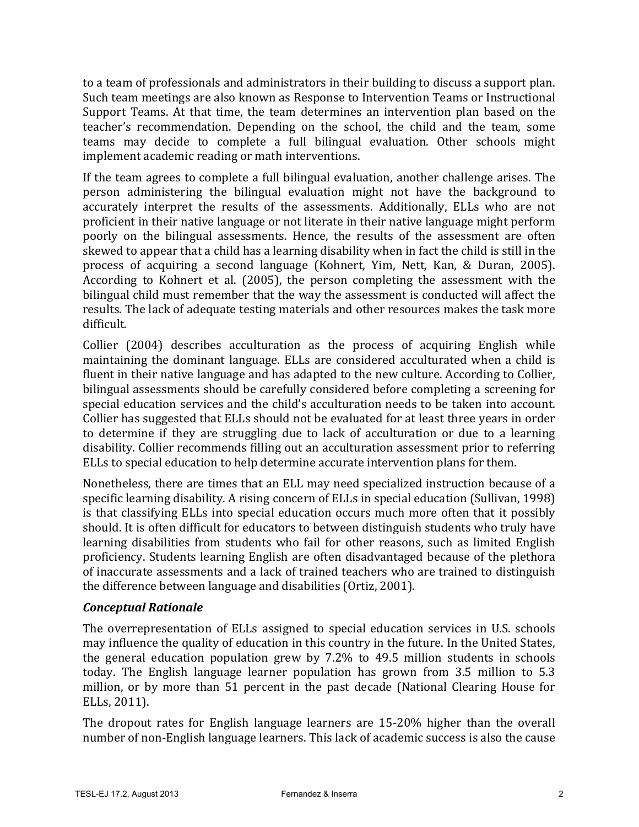to a team of professionals and administrators in their building to discuss a support plan. Such team meetings are also known as Response to Intervention Teams or Instructional Support Teams. At that time, the team determines an intervention plan based on the teacher's recommendation. Depending on the school, the child and the team, some teams may decide to complete a full bilingual evaluation. Other schools might implement academic reading or math interventions.

If the team agrees to complete a full bilingual evaluation, another challenge arises. The person administering the bilingual evaluation might not have the background to accurately interpret the results of the assessments. Additionally, ELLs who are not proficient in their native language or not literate in their native language might perform poorly on the bilingual assessments. Hence, the results of the assessment are often skewed to appear that a child has a learning disability when in fact the child is still in the process of acquiring a second language (Kohnert, Yim, Nett, Kan, & Duran, 2005). According to Kohnert et al. (2005), the person completing the assessment with the bilingual child must remember that the way the assessment is conducted will affect the results. The lack of adequate testing materials and other resources makes the task more difficult.

Collier  $(2004)$  describes acculturation as the process of acquiring English while maintaining the dominant language. ELLs are considered acculturated when a child is fluent in their native language and has adapted to the new culture. According to Collier, bilingual assessments should be carefully considered before completing a screening for special education services and the child's acculturation needs to be taken into account. Collier has suggested that ELLs should not be evaluated for at least three years in order to determine if they are struggling due to lack of acculturation or due to a learning disability. Collier recommends filling out an acculturation assessment prior to referring ELLs to special education to help determine accurate intervention plans for them.

Nonetheless, there are times that an ELL may need specialized instruction because of a specific learning disability. A rising concern of ELLs in special education (Sullivan, 1998) is that classifying ELLs into special education occurs much more often that it possibly should. It is often difficult for educators to between distinguish students who truly have learning disabilities from students who fail for other reasons, such as limited English proficiency. Students learning English are often disadvantaged because of the plethora of inaccurate assessments and a lack of trained teachers who are trained to distinguish the difference between language and disabilities (Ortiz, 2001).

#### *Conceptual Rationale*

The overrepresentation of ELLs assigned to special education services in U.S. schools may influence the quality of education in this country in the future. In the United States, the general education population grew by  $7.2\%$  to 49.5 million students in schools today. The English language learner population has grown from 3.5 million to 5.3 million, or by more than 51 percent in the past decade (National Clearing House for ELLs, 2011).

The dropout rates for English language learners are 15-20% higher than the overall number of non-English language learners. This lack of academic success is also the cause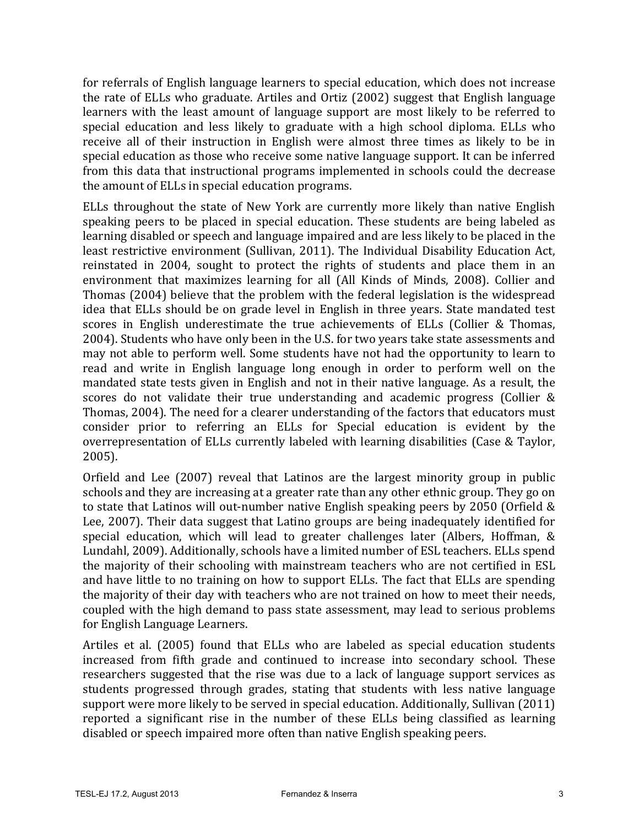for referrals of English language learners to special education, which does not increase the rate of ELLs who graduate. Artiles and Ortiz (2002) suggest that English language learners with the least amount of language support are most likely to be referred to special education and less likely to graduate with a high school diploma. ELLs who receive all of their instruction in English were almost three times as likely to be in special education as those who receive some native language support. It can be inferred from this data that instructional programs implemented in schools could the decrease the amount of ELLs in special education programs.

ELLs throughout the state of New York are currently more likely than native English speaking peers to be placed in special education. These students are being labeled as learning disabled or speech and language impaired and are less likely to be placed in the least restrictive environment (Sullivan, 2011). The Individual Disability Education Act, reinstated in 2004, sought to protect the rights of students and place them in an environment that maximizes learning for all (All Kinds of Minds, 2008). Collier and Thomas (2004) believe that the problem with the federal legislation is the widespread idea that ELLs should be on grade level in English in three years. State mandated test scores in English underestimate the true achievements of ELLs (Collier & Thomas, 2004). Students who have only been in the U.S. for two years take state assessments and may not able to perform well. Some students have not had the opportunity to learn to read and write in English language long enough in order to perform well on the mandated state tests given in English and not in their native language. As a result, the scores do not validate their true understanding and academic progress (Collier  $&$ Thomas, 2004). The need for a clearer understanding of the factors that educators must consider prior to referring an ELLs for Special education is evident by the overrepresentation of ELLs currently labeled with learning disabilities (Case & Taylor, 2005).

Orfield and Lee (2007) reveal that Latinos are the largest minority group in public schools and they are increasing at a greater rate than any other ethnic group. They go on to state that Latinos will out-number native English speaking peers by 2050 (Orfield  $&$ Lee, 2007). Their data suggest that Latino groups are being inadequately identified for special education, which will lead to greater challenges later (Albers, Hoffman,  $\&$ Lundahl, 2009). Additionally, schools have a limited number of ESL teachers. ELLs spend the majority of their schooling with mainstream teachers who are not certified in ESL and have little to no training on how to support ELLs. The fact that ELLs are spending the majority of their day with teachers who are not trained on how to meet their needs, coupled with the high demand to pass state assessment, may lead to serious problems for English Language Learners.

Artiles et al. (2005) found that ELLs who are labeled as special education students increased from fifth grade and continued to increase into secondary school. These researchers suggested that the rise was due to a lack of language support services as students progressed through grades, stating that students with less native language support were more likely to be served in special education. Additionally, Sullivan (2011) reported a significant rise in the number of these ELLs being classified as learning disabled or speech impaired more often than native English speaking peers.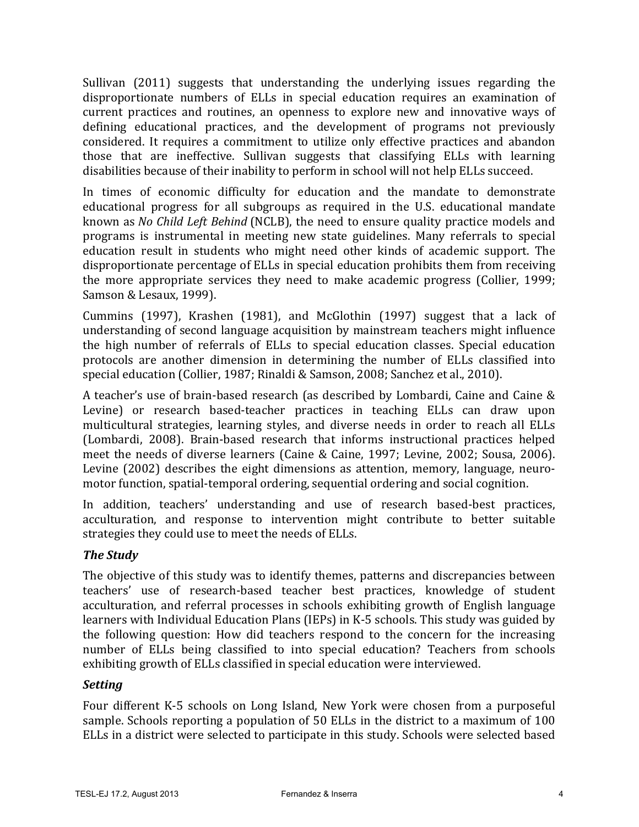Sullivan (2011) suggests that understanding the underlying issues regarding the disproportionate numbers of ELLs in special education requires an examination of current practices and routines, an openness to explore new and innovative ways of defining educational practices, and the development of programs not previously considered. It requires a commitment to utilize only effective practices and abandon those that are ineffective. Sullivan suggests that classifying ELLs with learning disabilities because of their inability to perform in school will not help ELLs succeed.

In times of economic difficulty for education and the mandate to demonstrate educational progress for all subgroups as required in the U.S. educational mandate known as *No Child Left Behind* (NCLB), the need to ensure quality practice models and programs is instrumental in meeting new state guidelines. Many referrals to special education result in students who might need other kinds of academic support. The disproportionate percentage of ELLs in special education prohibits them from receiving the more appropriate services they need to make academic progress (Collier, 1999; Samson & Lesaux, 1999).

Cummins  $(1997)$ , Krashen  $(1981)$ , and McGlothin  $(1997)$  suggest that a lack of understanding of second language acquisition by mainstream teachers might influence the high number of referrals of ELLs to special education classes. Special education protocols are another dimension in determining the number of ELLs classified into special education (Collier, 1987; Rinaldi & Samson, 2008; Sanchez et al., 2010).

A teacher's use of brain-based research (as described by Lombardi, Caine and Caine & Levine) or research based-teacher practices in teaching ELLs can draw upon multicultural strategies, learning styles, and diverse needs in order to reach all ELLs (Lombardi, 2008). Brain-based research that informs instructional practices helped meet the needs of diverse learners (Caine & Caine, 1997; Levine, 2002; Sousa, 2006). Levine  $(2002)$  describes the eight dimensions as attention, memory, language, neuromotor function, spatial-temporal ordering, sequential ordering and social cognition.

In addition, teachers' understanding and use of research based-best practices, acculturation, and response to intervention might contribute to better suitable strategies they could use to meet the needs of ELLs.

### *The Study*

The objective of this study was to identify themes, patterns and discrepancies between teachers' use of research-based teacher best practices, knowledge of student acculturation, and referral processes in schools exhibiting growth of English language learners with Individual Education Plans (IEPs) in K-5 schools. This study was guided by the following question: How did teachers respond to the concern for the increasing number of ELLs being classified to into special education? Teachers from schools exhibiting growth of ELLs classified in special education were interviewed.

### *Setting*

Four different K-5 schools on Long Island, New York were chosen from a purposeful sample. Schools reporting a population of 50 ELLs in the district to a maximum of 100 ELLs in a district were selected to participate in this study. Schools were selected based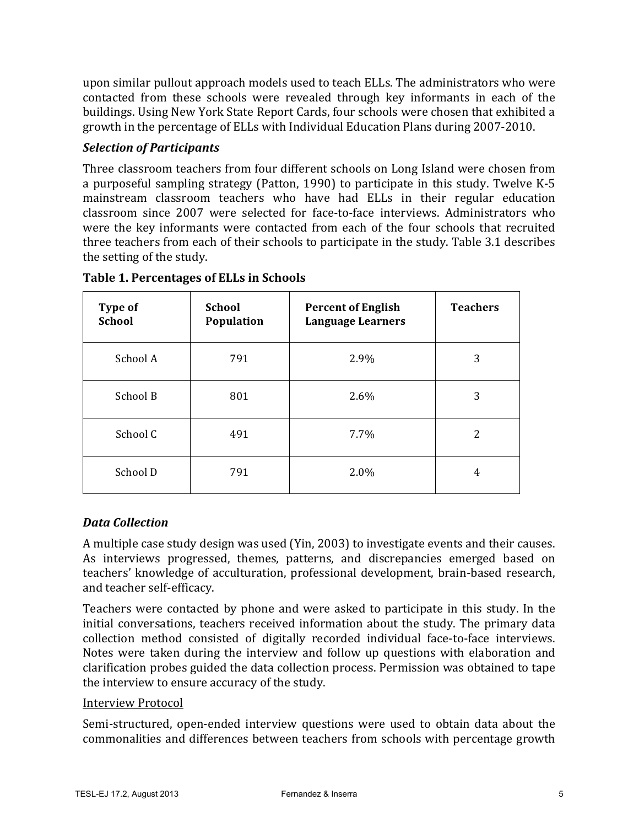upon similar pullout approach models used to teach ELLs. The administrators who were contacted from these schools were revealed through key informants in each of the buildings. Using New York State Report Cards, four schools were chosen that exhibited a growth in the percentage of ELLs with Individual Education Plans during 2007-2010.

### *Selection of Participants*

Three classroom teachers from four different schools on Long Island were chosen from a purposeful sampling strategy (Patton, 1990) to participate in this study. Twelve K-5 mainstream classroom teachers who have had ELLs in their regular education classroom since 2007 were selected for face-to-face interviews. Administrators who were the key informants were contacted from each of the four schools that recruited three teachers from each of their schools to participate in the study. Table 3.1 describes the setting of the study.

| <b>Type of</b><br><b>School</b> | <b>School</b><br>Population | <b>Percent of English</b><br><b>Language Learners</b> | <b>Teachers</b> |
|---------------------------------|-----------------------------|-------------------------------------------------------|-----------------|
| School A                        | 791                         | 2.9%                                                  | 3               |
| School B                        | 801                         | 2.6%                                                  | 3               |
| School C                        | 491                         | 7.7%                                                  | 2               |
| School D                        | 791                         | 2.0%                                                  | 4               |

**Table 1. Percentages of ELLs in Schools**

# *Data Collection*

A multiple case study design was used (Yin, 2003) to investigate events and their causes. As interviews progressed, themes, patterns, and discrepancies emerged based on teachers' knowledge of acculturation, professional development, brain-based research, and teacher self-efficacy.

Teachers were contacted by phone and were asked to participate in this study. In the initial conversations, teachers received information about the study. The primary data collection method consisted of digitally recorded individual face-to-face interviews. Notes were taken during the interview and follow up questions with elaboration and clarification probes guided the data collection process. Permission was obtained to tape the interview to ensure accuracy of the study.

### Interview Protocol

Semi-structured, open-ended interview questions were used to obtain data about the commonalities and differences between teachers from schools with percentage growth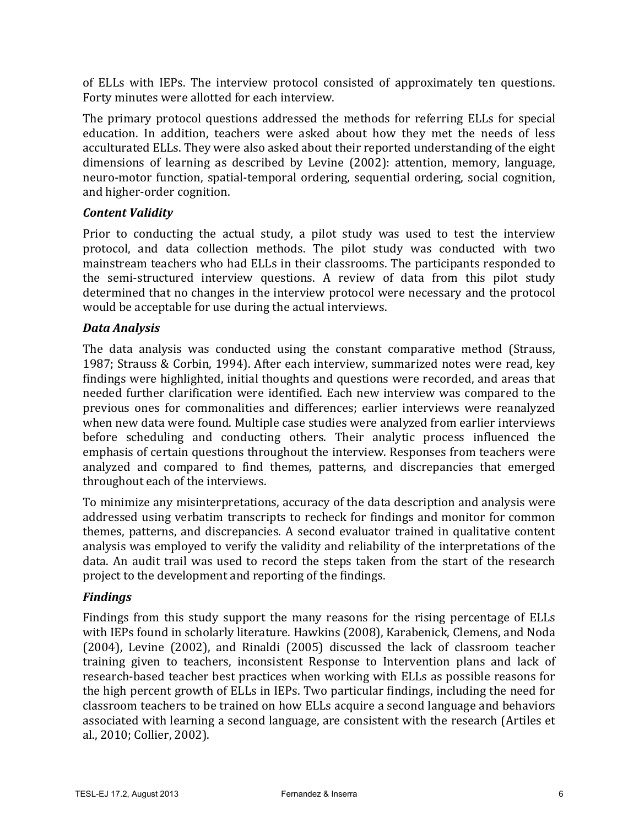of ELLs with IEPs. The interview protocol consisted of approximately ten questions. Forty minutes were allotted for each interview.

The primary protocol questions addressed the methods for referring ELLs for special education. In addition, teachers were asked about how they met the needs of less acculturated ELLs. They were also asked about their reported understanding of the eight dimensions of learning as described by Levine (2002): attention, memory, language, neuro-motor function, spatial-temporal ordering, sequential ordering, social cognition, and higher-order cognition.

### *Content Validity*

Prior to conducting the actual study, a pilot study was used to test the interview protocol, and data collection methods. The pilot study was conducted with two mainstream teachers who had ELLs in their classrooms. The participants responded to the semi-structured interview questions. A review of data from this pilot study determined that no changes in the interview protocol were necessary and the protocol would be acceptable for use during the actual interviews.

#### *Data Analysis*

The data analysis was conducted using the constant comparative method (Strauss, 1987; Strauss & Corbin, 1994). After each interview, summarized notes were read, key findings were highlighted, initial thoughts and questions were recorded, and areas that needed further clarification were identified. Each new interview was compared to the previous ones for commonalities and differences; earlier interviews were reanalyzed when new data were found. Multiple case studies were analyzed from earlier interviews before scheduling and conducting others. Their analytic process influenced the emphasis of certain questions throughout the interview. Responses from teachers were analyzed and compared to find themes, patterns, and discrepancies that emerged throughout each of the interviews.

To minimize any misinterpretations, accuracy of the data description and analysis were addressed using verbatim transcripts to recheck for findings and monitor for common themes, patterns, and discrepancies. A second evaluator trained in qualitative content analysis was employed to verify the validity and reliability of the interpretations of the data. An audit trail was used to record the steps taken from the start of the research project to the development and reporting of the findings.

### *Findings*

Findings from this study support the many reasons for the rising percentage of ELLs with IEPs found in scholarly literature. Hawkins (2008), Karabenick, Clemens, and Noda  $(2004)$ , Levine  $(2002)$ , and Rinaldi  $(2005)$  discussed the lack of classroom teacher training given to teachers, inconsistent Response to Intervention plans and lack of research-based teacher best practices when working with ELLs as possible reasons for the high percent growth of ELLs in IEPs. Two particular findings, including the need for classroom teachers to be trained on how ELLs acquire a second language and behaviors associated with learning a second language, are consistent with the research (Artiles et al., 2010; Collier, 2002).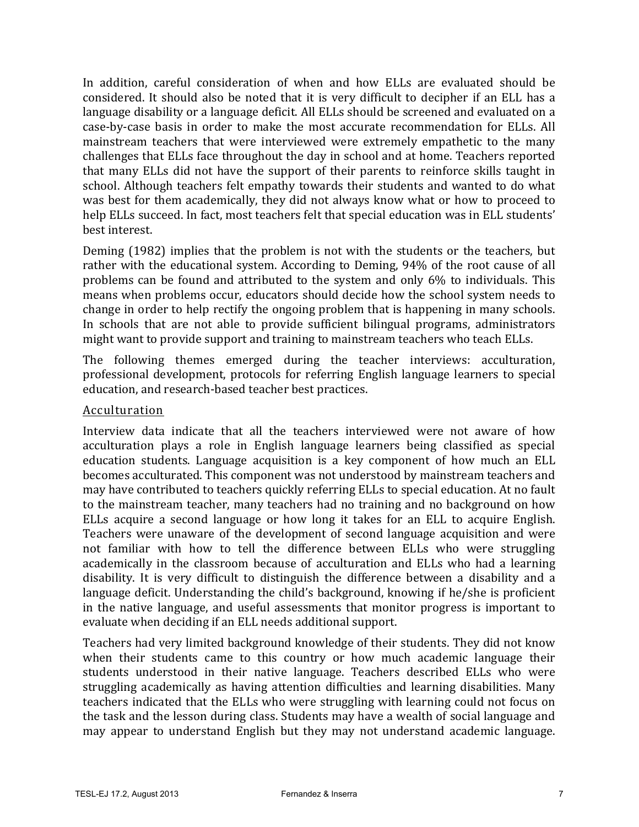In addition, careful consideration of when and how ELLs are evaluated should be considered. It should also be noted that it is very difficult to decipher if an ELL has a language disability or a language deficit. All ELLs should be screened and evaluated on a case-by-case basis in order to make the most accurate recommendation for ELLs. All mainstream teachers that were interviewed were extremely empathetic to the many challenges that ELLs face throughout the day in school and at home. Teachers reported that many ELLs did not have the support of their parents to reinforce skills taught in school. Although teachers felt empathy towards their students and wanted to do what was best for them academically, they did not always know what or how to proceed to help ELLs succeed. In fact, most teachers felt that special education was in ELL students' best interest.

Deming (1982) implies that the problem is not with the students or the teachers, but rather with the educational system. According to Deming, 94% of the root cause of all problems can be found and attributed to the system and only  $6\%$  to individuals. This means when problems occur, educators should decide how the school system needs to change in order to help rectify the ongoing problem that is happening in many schools. In schools that are not able to provide sufficient bilingual programs, administrators might want to provide support and training to mainstream teachers who teach ELLs.

The following themes emerged during the teacher interviews: acculturation, professional development, protocols for referring English language learners to special education, and research-based teacher best practices.

#### Acculturation

Interview data indicate that all the teachers interviewed were not aware of how acculturation plays a role in English language learners being classified as special education students. Language acquisition is a key component of how much an ELL becomes acculturated. This component was not understood by mainstream teachers and may have contributed to teachers quickly referring ELLs to special education. At no fault to the mainstream teacher, many teachers had no training and no background on how ELLs acquire a second language or how long it takes for an ELL to acquire English. Teachers were unaware of the development of second language acquisition and were not familiar with how to tell the difference between ELLs who were struggling academically in the classroom because of acculturation and ELLs who had a learning disability. It is very difficult to distinguish the difference between a disability and a language deficit. Understanding the child's background, knowing if he/she is proficient in the native language, and useful assessments that monitor progress is important to evaluate when deciding if an ELL needs additional support.

Teachers had very limited background knowledge of their students. They did not know when their students came to this country or how much academic language their students understood in their native language. Teachers described ELLs who were struggling academically as having attention difficulties and learning disabilities. Many teachers indicated that the ELLs who were struggling with learning could not focus on the task and the lesson during class. Students may have a wealth of social language and may appear to understand English but they may not understand academic language.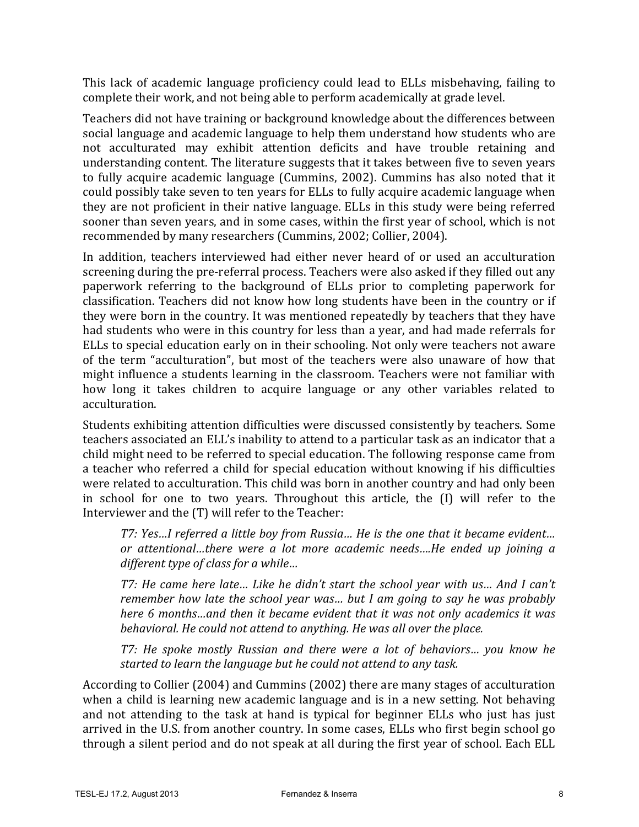This lack of academic language proficiency could lead to ELLs misbehaving, failing to complete their work, and not being able to perform academically at grade level.

Teachers did not have training or background knowledge about the differences between social language and academic language to help them understand how students who are not acculturated may exhibit attention deficits and have trouble retaining and understanding content. The literature suggests that it takes between five to seven years to fully acquire academic language (Cummins, 2002). Cummins has also noted that it could possibly take seven to ten years for ELLs to fully acquire academic language when they are not proficient in their native language. ELLs in this study were being referred sooner than seven years, and in some cases, within the first year of school, which is not recommended by many researchers (Cummins, 2002; Collier, 2004).

In addition, teachers interviewed had either never heard of or used an acculturation screening during the pre-referral process. Teachers were also asked if they filled out any paperwork referring to the background of ELLs prior to completing paperwork for classification. Teachers did not know how long students have been in the country or if they were born in the country. It was mentioned repeatedly by teachers that they have had students who were in this country for less than a year, and had made referrals for ELLs to special education early on in their schooling. Not only were teachers not aware of the term "acculturation", but most of the teachers were also unaware of how that might influence a students learning in the classroom. Teachers were not familiar with how long it takes children to acquire language or any other variables related to acculturation.

Students exhibiting attention difficulties were discussed consistently by teachers. Some teachers associated an ELL's inability to attend to a particular task as an indicator that a child might need to be referred to special education. The following response came from a teacher who referred a child for special education without knowing if his difficulties were related to acculturation. This child was born in another country and had only been in school for one to two years. Throughout this article, the (I) will refer to the Interviewer and the  $(T)$  will refer to the Teacher:

*T7: Yes...I referred a little boy from Russia... He is the one that it became evident... or attentional…there were a lot more academic needs….He ended up joining a different type of class for a while...* 

*T7:* He came here late... Like he didn't start the school year with us... And I can't *remember how late the school year was... but I am going to say he was probably here* 6 months...and then it became evident that it was not only academics it was behavioral. He could not attend to anything. He was all over the place.

*T7: He spoke mostly Russian and there were a lot of behaviors... you know he* started to learn the language but he could not attend to any task.

According to Collier (2004) and Cummins (2002) there are many stages of acculturation when a child is learning new academic language and is in a new setting. Not behaving and not attending to the task at hand is typical for beginner ELLs who just has just arrived in the U.S. from another country. In some cases, ELLs who first begin school go through a silent period and do not speak at all during the first year of school. Each ELL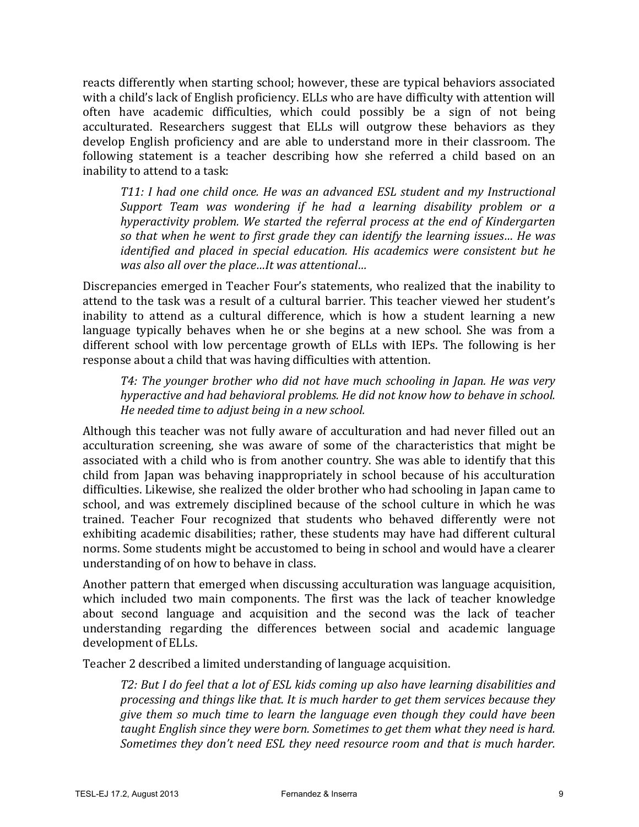reacts differently when starting school; however, these are typical behaviors associated with a child's lack of English proficiency. ELLs who are have difficulty with attention will often have academic difficulties, which could possibly be a sign of not being acculturated. Researchers suggest that ELLs will outgrow these behaviors as they develop English proficiency and are able to understand more in their classroom. The following statement is a teacher describing how she referred a child based on an inability to attend to a task:

*T11: I had one child once. He was an advanced ESL student and my Instructional Support* Team was wondering if he had a learning disability problem or a *hyperactivity problem.* We started the referral process at the end of Kindergarten *so that when he went to first grade they can identify the learning issues... He was identified and placed in special education. His academics were consistent but he* was also all over the place...It was attentional...

Discrepancies emerged in Teacher Four's statements, who realized that the inability to attend to the task was a result of a cultural barrier. This teacher viewed her student's inability to attend as a cultural difference, which is how a student learning a new language typically behaves when he or she begins at a new school. She was from a different school with low percentage growth of ELLs with IEPs. The following is her response about a child that was having difficulties with attention.

*T4: The younger brother who did not have much schooling in Japan. He was very hyperactive and had behavioral problems. He did not know how to behave in school. He needed time to adjust being in a new school.* 

Although this teacher was not fully aware of acculturation and had never filled out an acculturation screening, she was aware of some of the characteristics that might be associated with a child who is from another country. She was able to identify that this child from Japan was behaving inappropriately in school because of his acculturation difficulties. Likewise, she realized the older brother who had schooling in Japan came to school, and was extremely disciplined because of the school culture in which he was trained. Teacher Four recognized that students who behaved differently were not exhibiting academic disabilities; rather, these students may have had different cultural norms. Some students might be accustomed to being in school and would have a clearer understanding of on how to behave in class.

Another pattern that emerged when discussing acculturation was language acquisition, which included two main components. The first was the lack of teacher knowledge about second language and acquisition and the second was the lack of teacher understanding regarding the differences between social and academic language development of ELLs.

Teacher 2 described a limited understanding of language acquisition.

*T2:* But I do feel that a lot of ESL kids coming up also have learning disabilities and *processing and things like that. It is much harder to get them services because they give them so much time to learn the language even though they could have been taught English since they were born. Sometimes to get them what they need is hard. Sometimes they don't need ESL they need resource room and that is much harder.*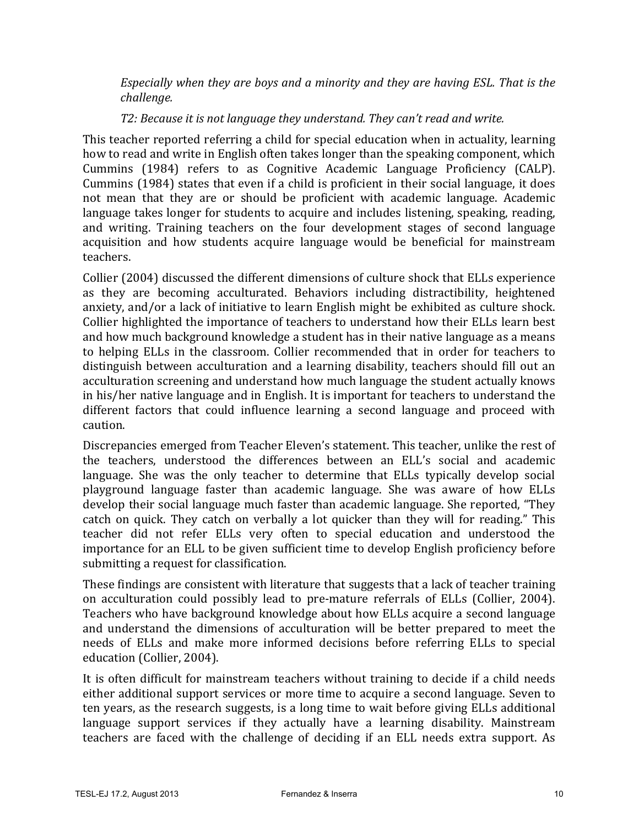*Especially* when they are boys and a minority and they are having ESL. That is the *challenge.*

#### *T2: Because it is not language they understand. They can't read and write.*

This teacher reported referring a child for special education when in actuality, learning how to read and write in English often takes longer than the speaking component, which Cummins (1984) refers to as Cognitive Academic Language Proficiency (CALP). Cummins (1984) states that even if a child is proficient in their social language, it does not mean that they are or should be proficient with academic language. Academic language takes longer for students to acquire and includes listening, speaking, reading, and writing. Training teachers on the four development stages of second language acquisition and how students acquire language would be beneficial for mainstream teachers.

Collier (2004) discussed the different dimensions of culture shock that ELLs experience as they are becoming acculturated. Behaviors including distractibility, heightened anxiety, and/or a lack of initiative to learn English might be exhibited as culture shock. Collier highlighted the importance of teachers to understand how their ELLs learn best and how much background knowledge a student has in their native language as a means to helping ELLs in the classroom. Collier recommended that in order for teachers to distinguish between acculturation and a learning disability, teachers should fill out an acculturation screening and understand how much language the student actually knows in his/her native language and in English. It is important for teachers to understand the different factors that could influence learning a second language and proceed with caution.

Discrepancies emerged from Teacher Eleven's statement. This teacher, unlike the rest of the teachers, understood the differences between an ELL's social and academic language. She was the only teacher to determine that ELLs typically develop social playground language faster than academic language. She was aware of how ELLs develop their social language much faster than academic language. She reported, "They catch on quick. They catch on verbally a lot quicker than they will for reading." This teacher did not refer ELLs very often to special education and understood the importance for an ELL to be given sufficient time to develop English proficiency before submitting a request for classification.

These findings are consistent with literature that suggests that a lack of teacher training on acculturation could possibly lead to pre-mature referrals of ELLs (Collier, 2004). Teachers who have background knowledge about how ELLs acquire a second language and understand the dimensions of acculturation will be better prepared to meet the needs of ELLs and make more informed decisions before referring ELLs to special education (Collier, 2004).

It is often difficult for mainstream teachers without training to decide if a child needs either additional support services or more time to acquire a second language. Seven to ten years, as the research suggests, is a long time to wait before giving ELLs additional language support services if they actually have a learning disability. Mainstream teachers are faced with the challenge of deciding if an ELL needs extra support. As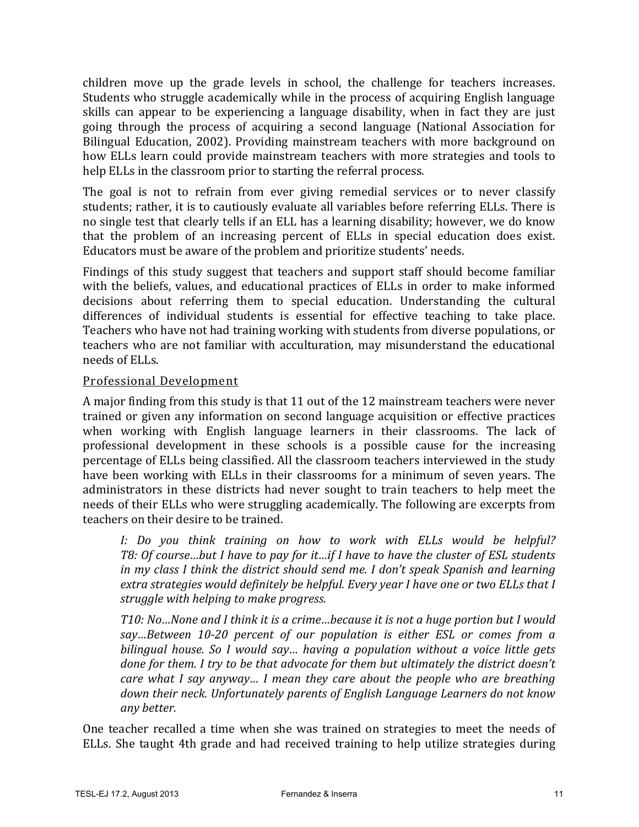children move up the grade levels in school, the challenge for teachers increases. Students who struggle academically while in the process of acquiring English language skills can appear to be experiencing a language disability, when in fact they are just going through the process of acquiring a second language (National Association for Bilingual Education, 2002). Providing mainstream teachers with more background on how ELLs learn could provide mainstream teachers with more strategies and tools to help ELLs in the classroom prior to starting the referral process.

The goal is not to refrain from ever giving remedial services or to never classify students; rather, it is to cautiously evaluate all variables before referring ELLs. There is no single test that clearly tells if an ELL has a learning disability; however, we do know that the problem of an increasing percent of ELLs in special education does exist. Educators must be aware of the problem and prioritize students' needs.

Findings of this study suggest that teachers and support staff should become familiar with the beliefs, values, and educational practices of ELLs in order to make informed decisions about referring them to special education. Understanding the cultural differences of individual students is essential for effective teaching to take place. Teachers who have not had training working with students from diverse populations, or teachers who are not familiar with acculturation, may misunderstand the educational needs of ELLs.

#### Professional Development

A major finding from this study is that 11 out of the 12 mainstream teachers were never trained or given any information on second language acquisition or effective practices when working with English language learners in their classrooms. The lack of professional development in these schools is a possible cause for the increasing percentage of ELLs being classified. All the classroom teachers interviewed in the study have been working with ELLs in their classrooms for a minimum of seven years. The administrators in these districts had never sought to train teachers to help meet the needs of their ELLs who were struggling academically. The following are excerpts from teachers on their desire to be trained.

*I:* Do you think training on how to work with ELLs would be helpful? *T8: Of course…but I have to pay for it…if I have to have the cluster of ESL students in* my class I think the district should send me. I don't speak Spanish and learning *extra strategies would definitely be helpful. Every year I have one or two ELLs that I struggle with helping to make progress.* 

*T10: No...None and I think it is a crime...because it is not a huge portion but I would* say...Between 10-20 percent of our population is either ESL or comes from a *bilingual house.* So I would say... having a population without a voice little gets *done for them. I try to be that advocate for them but ultimately the district doesn't care* what I say anyway... I mean they care about the people who are breathing *down their neck. Unfortunately parents of English Language Learners do not know any better.*

One teacher recalled a time when she was trained on strategies to meet the needs of ELLs. She taught 4th grade and had received training to help utilize strategies during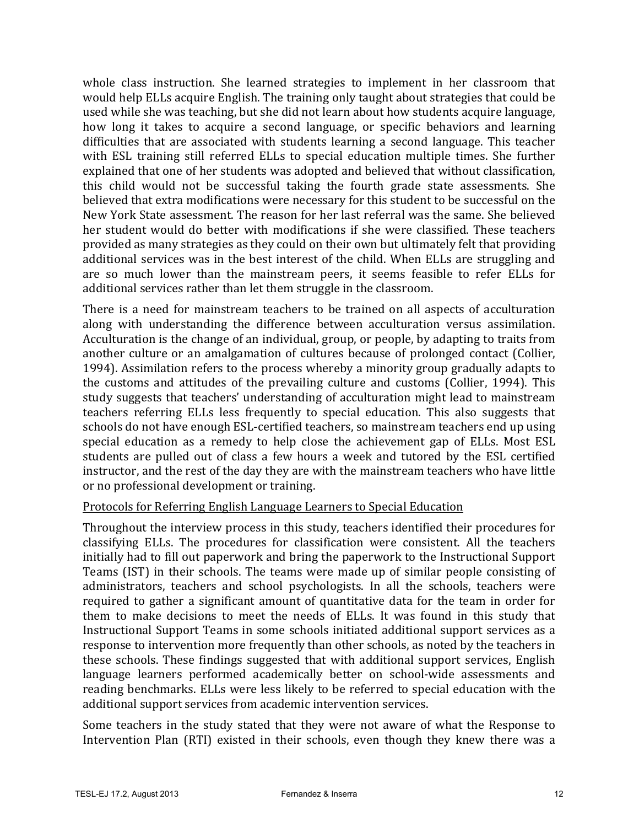whole class instruction. She learned strategies to implement in her classroom that would help ELLs acquire English. The training only taught about strategies that could be used while she was teaching, but she did not learn about how students acquire language, how long it takes to acquire a second language, or specific behaviors and learning difficulties that are associated with students learning a second language. This teacher with ESL training still referred ELLs to special education multiple times. She further explained that one of her students was adopted and believed that without classification, this child would not be successful taking the fourth grade state assessments. She believed that extra modifications were necessary for this student to be successful on the New York State assessment. The reason for her last referral was the same. She believed her student would do better with modifications if she were classified. These teachers provided as many strategies as they could on their own but ultimately felt that providing additional services was in the best interest of the child. When ELLs are struggling and are so much lower than the mainstream peers, it seems feasible to refer ELLs for additional services rather than let them struggle in the classroom.

There is a need for mainstream teachers to be trained on all aspects of acculturation along with understanding the difference between acculturation versus assimilation. Acculturation is the change of an individual, group, or people, by adapting to traits from another culture or an amalgamation of cultures because of prolonged contact (Collier, 1994). Assimilation refers to the process whereby a minority group gradually adapts to the customs and attitudes of the prevailing culture and customs (Collier, 1994). This study suggests that teachers' understanding of acculturation might lead to mainstream teachers referring ELLs less frequently to special education. This also suggests that schools do not have enough ESL-certified teachers, so mainstream teachers end up using special education as a remedy to help close the achievement gap of ELLs. Most ESL students are pulled out of class a few hours a week and tutored by the ESL certified instructor, and the rest of the day they are with the mainstream teachers who have little or no professional development or training.

#### Protocols for Referring English Language Learners to Special Education

Throughout the interview process in this study, teachers identified their procedures for classifying ELLs. The procedures for classification were consistent. All the teachers initially had to fill out paperwork and bring the paperwork to the Instructional Support Teams (IST) in their schools. The teams were made up of similar people consisting of administrators, teachers and school psychologists. In all the schools, teachers were required to gather a significant amount of quantitative data for the team in order for them to make decisions to meet the needs of ELLs. It was found in this study that Instructional Support Teams in some schools initiated additional support services as a response to intervention more frequently than other schools, as noted by the teachers in these schools. These findings suggested that with additional support services, English language learners performed academically better on school-wide assessments and reading benchmarks. ELLs were less likely to be referred to special education with the additional support services from academic intervention services.

Some teachers in the study stated that they were not aware of what the Response to Intervention Plan (RTI) existed in their schools, even though they knew there was a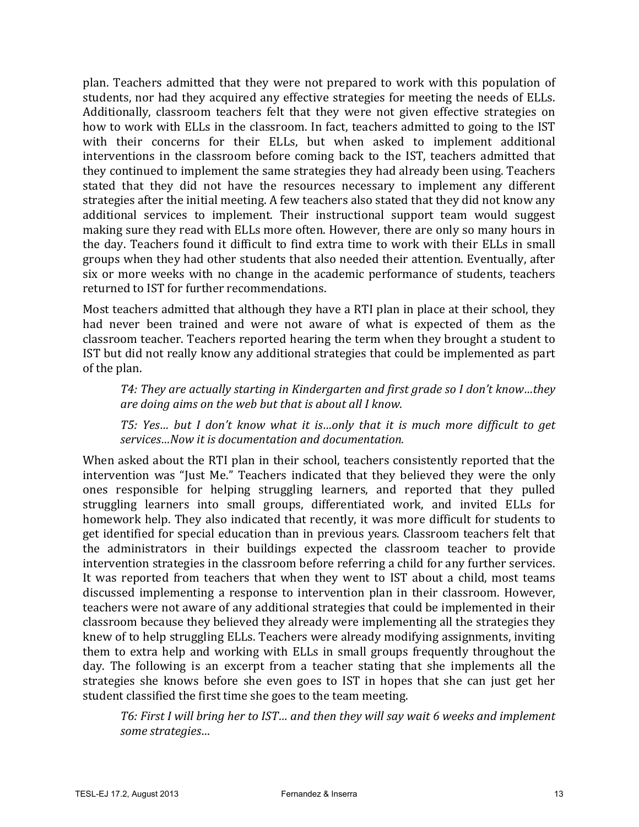plan. Teachers admitted that they were not prepared to work with this population of students, nor had they acquired any effective strategies for meeting the needs of ELLs. Additionally, classroom teachers felt that they were not given effective strategies on how to work with ELLs in the classroom. In fact, teachers admitted to going to the IST with their concerns for their ELLs, but when asked to implement additional interventions in the classroom before coming back to the IST, teachers admitted that they continued to implement the same strategies they had already been using. Teachers stated that they did not have the resources necessary to implement any different strategies after the initial meeting. A few teachers also stated that they did not know any additional services to implement. Their instructional support team would suggest making sure they read with ELLs more often. However, there are only so many hours in the day. Teachers found it difficult to find extra time to work with their ELLs in small groups when they had other students that also needed their attention. Eventually, after six or more weeks with no change in the academic performance of students, teachers returned to IST for further recommendations.

Most teachers admitted that although they have a RTI plan in place at their school, they had never been trained and were not aware of what is expected of them as the classroom teacher. Teachers reported hearing the term when they brought a student to IST but did not really know any additional strategies that could be implemented as part of the plan.

T4: They are actually starting in Kindergarten and first grade so I don't know...they *are doing aims on the web but that is about all I know.* 

T5: Yes... but I don't know what it is...only that it is much more difficult to get services...Now it is documentation and documentation.

When asked about the RTI plan in their school, teachers consistently reported that the intervention was "Just Me." Teachers indicated that they believed they were the only ones responsible for helping struggling learners, and reported that they pulled struggling learners into small groups, differentiated work, and invited ELLs for homework help. They also indicated that recently, it was more difficult for students to get identified for special education than in previous years. Classroom teachers felt that the administrators in their buildings expected the classroom teacher to provide intervention strategies in the classroom before referring a child for any further services. It was reported from teachers that when they went to IST about a child, most teams discussed implementing a response to intervention plan in their classroom. However, teachers were not aware of any additional strategies that could be implemented in their classroom because they believed they already were implementing all the strategies they knew of to help struggling ELLs. Teachers were already modifying assignments, inviting them to extra help and working with ELLs in small groups frequently throughout the day. The following is an excerpt from a teacher stating that she implements all the strategies she knows before she even goes to IST in hopes that she can just get her student classified the first time she goes to the team meeting.

T6: First I will bring her to IST... and then they will say wait 6 weeks and implement *some strategies…*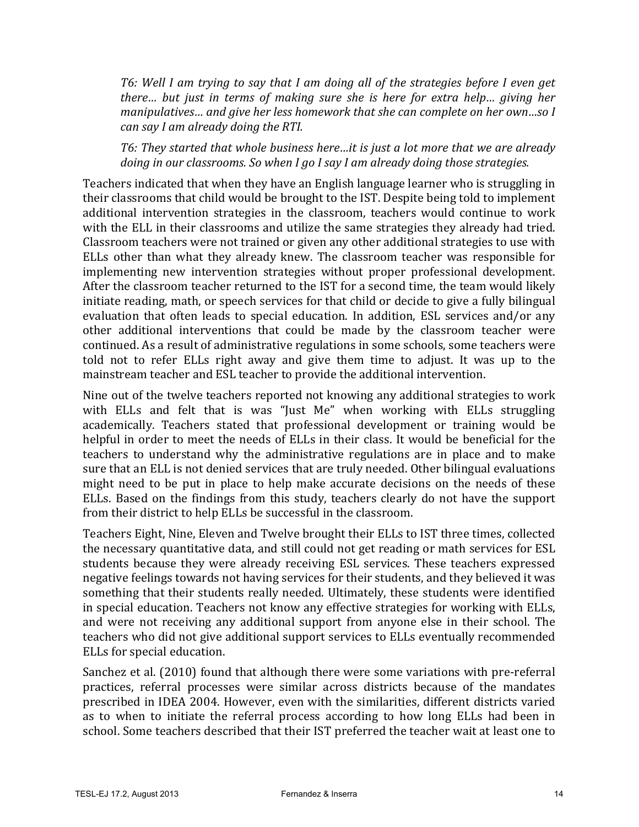T6: Well I am trying to say that I am doing all of the strategies before I even get *there...* but just in terms of making sure she is here for extra help... giving her *manipulatives... and give her less homework that she can complete on her own...so I can say I am already doing the RTI.* 

T6: They started that whole business here...it is just a lot more that we are already *doing in our classrooms.* So when I go I say I am already doing those strategies.

Teachers indicated that when they have an English language learner who is struggling in their classrooms that child would be brought to the IST. Despite being told to implement additional intervention strategies in the classroom, teachers would continue to work with the ELL in their classrooms and utilize the same strategies they already had tried. Classroom teachers were not trained or given any other additional strategies to use with ELLs other than what they already knew. The classroom teacher was responsible for implementing new intervention strategies without proper professional development. After the classroom teacher returned to the IST for a second time, the team would likely initiate reading, math, or speech services for that child or decide to give a fully bilingual evaluation that often leads to special education. In addition, ESL services and/or any other additional interventions that could be made by the classroom teacher were continued. As a result of administrative regulations in some schools, some teachers were told not to refer ELLs right away and give them time to adjust. It was up to the mainstream teacher and ESL teacher to provide the additional intervention.

Nine out of the twelve teachers reported not knowing any additional strategies to work with ELLs and felt that is was "Just Me" when working with ELLs struggling academically. Teachers stated that professional development or training would be helpful in order to meet the needs of ELLs in their class. It would be beneficial for the teachers to understand why the administrative regulations are in place and to make sure that an ELL is not denied services that are truly needed. Other bilingual evaluations might need to be put in place to help make accurate decisions on the needs of these ELLs. Based on the findings from this study, teachers clearly do not have the support from their district to help ELLs be successful in the classroom.

Teachers Eight, Nine, Eleven and Twelve brought their ELLs to IST three times, collected the necessary quantitative data, and still could not get reading or math services for ESL students because they were already receiving ESL services. These teachers expressed negative feelings towards not having services for their students, and they believed it was something that their students really needed. Ultimately, these students were identified in special education. Teachers not know any effective strategies for working with ELLs, and were not receiving any additional support from anyone else in their school. The teachers who did not give additional support services to ELLs eventually recommended ELLs for special education.

Sanchez et al. (2010) found that although there were some variations with pre-referral practices, referral processes were similar across districts because of the mandates prescribed in IDEA 2004. However, even with the similarities, different districts varied as to when to initiate the referral process according to how long ELLs had been in school. Some teachers described that their IST preferred the teacher wait at least one to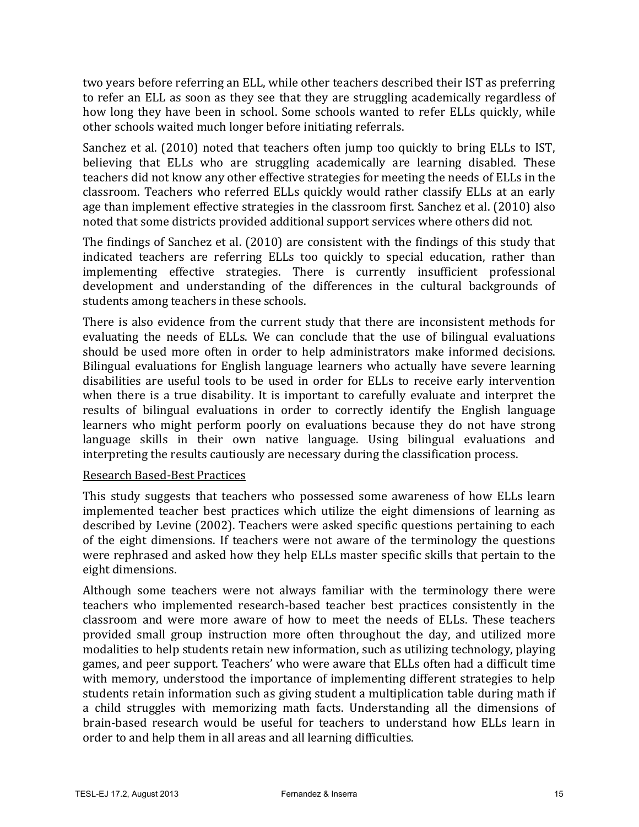two years before referring an ELL, while other teachers described their IST as preferring to refer an ELL as soon as they see that they are struggling academically regardless of how long they have been in school. Some schools wanted to refer ELLs quickly, while other schools waited much longer before initiating referrals.

Sanchez et al. (2010) noted that teachers often jump too quickly to bring ELLs to IST, believing that ELLs who are struggling academically are learning disabled. These teachers did not know any other effective strategies for meeting the needs of ELLs in the classroom. Teachers who referred ELLs quickly would rather classify ELLs at an early age than implement effective strategies in the classroom first. Sanchez et al. (2010) also noted that some districts provided additional support services where others did not.

The findings of Sanchez et al.  $(2010)$  are consistent with the findings of this study that indicated teachers are referring ELLs too quickly to special education, rather than implementing effective strategies. There is currently insufficient professional development and understanding of the differences in the cultural backgrounds of students among teachers in these schools.

There is also evidence from the current study that there are inconsistent methods for evaluating the needs of ELLs. We can conclude that the use of bilingual evaluations should be used more often in order to help administrators make informed decisions. Bilingual evaluations for English language learners who actually have severe learning disabilities are useful tools to be used in order for ELLs to receive early intervention when there is a true disability. It is important to carefully evaluate and interpret the results of bilingual evaluations in order to correctly identify the English language learners who might perform poorly on evaluations because they do not have strong language skills in their own native language. Using bilingual evaluations and interpreting the results cautiously are necessary during the classification process.

#### Research Based-Best Practices

This study suggests that teachers who possessed some awareness of how ELLs learn implemented teacher best practices which utilize the eight dimensions of learning as described by Levine (2002). Teachers were asked specific questions pertaining to each of the eight dimensions. If teachers were not aware of the terminology the questions were rephrased and asked how they help ELLs master specific skills that pertain to the eight dimensions.

Although some teachers were not always familiar with the terminology there were teachers who implemented research-based teacher best practices consistently in the classroom and were more aware of how to meet the needs of ELLs. These teachers provided small group instruction more often throughout the day, and utilized more modalities to help students retain new information, such as utilizing technology, playing games, and peer support. Teachers' who were aware that ELLs often had a difficult time with memory, understood the importance of implementing different strategies to help students retain information such as giving student a multiplication table during math if a child struggles with memorizing math facts. Understanding all the dimensions of brain-based research would be useful for teachers to understand how ELLs learn in order to and help them in all areas and all learning difficulties.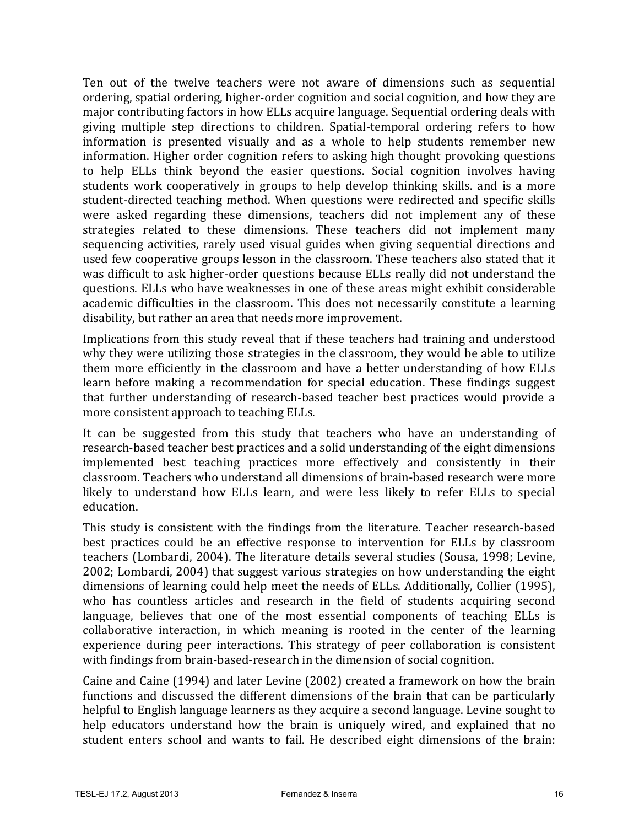Ten out of the twelve teachers were not aware of dimensions such as sequential ordering, spatial ordering, higher-order cognition and social cognition, and how they are major contributing factors in how ELLs acquire language. Sequential ordering deals with giving multiple step directions to children. Spatial-temporal ordering refers to how information is presented visually and as a whole to help students remember new information. Higher order cognition refers to asking high thought provoking questions to help ELLs think beyond the easier questions. Social cognition involves having students work cooperatively in groups to help develop thinking skills, and is a more student-directed teaching method. When questions were redirected and specific skills were asked regarding these dimensions, teachers did not implement any of these strategies related to these dimensions. These teachers did not implement many sequencing activities, rarely used visual guides when giving sequential directions and used few cooperative groups lesson in the classroom. These teachers also stated that it was difficult to ask higher-order questions because ELLs really did not understand the questions. ELLs who have weaknesses in one of these areas might exhibit considerable academic difficulties in the classroom. This does not necessarily constitute a learning disability, but rather an area that needs more improvement.

Implications from this study reveal that if these teachers had training and understood why they were utilizing those strategies in the classroom, they would be able to utilize them more efficiently in the classroom and have a better understanding of how ELLs learn before making a recommendation for special education. These findings suggest that further understanding of research-based teacher best practices would provide a more consistent approach to teaching ELLs.

It can be suggested from this study that teachers who have an understanding of research-based teacher best practices and a solid understanding of the eight dimensions implemented best teaching practices more effectively and consistently in their classroom. Teachers who understand all dimensions of brain-based research were more likely to understand how ELLs learn, and were less likely to refer ELLs to special education.

This study is consistent with the findings from the literature. Teacher research-based best practices could be an effective response to intervention for ELLs by classroom teachers (Lombardi, 2004). The literature details several studies (Sousa, 1998; Levine,  $2002$ ; Lombardi, 2004) that suggest various strategies on how understanding the eight dimensions of learning could help meet the needs of ELLs. Additionally, Collier (1995), who has countless articles and research in the field of students acquiring second language, believes that one of the most essential components of teaching ELLs is collaborative interaction, in which meaning is rooted in the center of the learning experience during peer interactions. This strategy of peer collaboration is consistent with findings from brain-based-research in the dimension of social cognition.

Caine and Caine  $(1994)$  and later Levine  $(2002)$  created a framework on how the brain functions and discussed the different dimensions of the brain that can be particularly helpful to English language learners as they acquire a second language. Levine sought to help educators understand how the brain is uniquely wired, and explained that no student enters school and wants to fail. He described eight dimensions of the brain: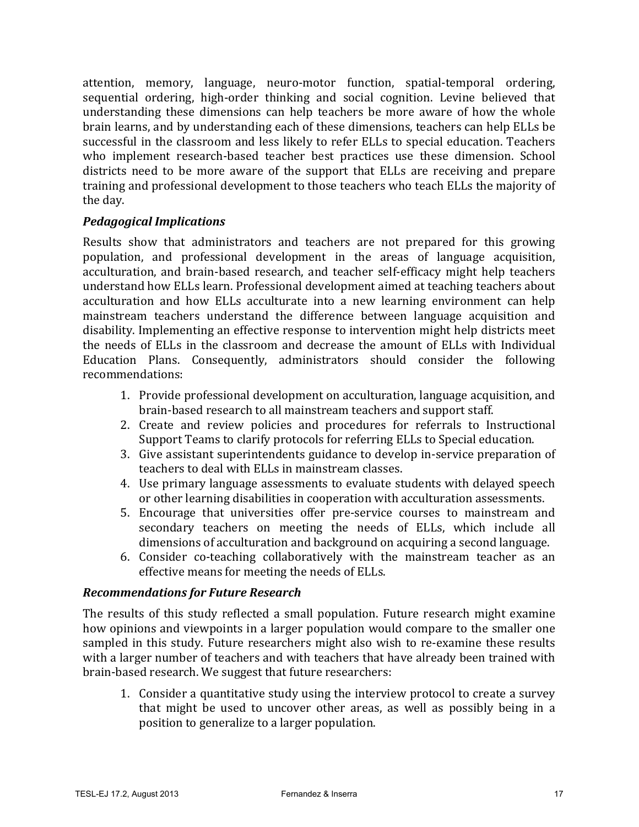attention, memory, language, neuro-motor function, spatial-temporal ordering, sequential ordering, high-order thinking and social cognition. Levine believed that understanding these dimensions can help teachers be more aware of how the whole brain learns, and by understanding each of these dimensions, teachers can help ELLs be successful in the classroom and less likely to refer ELLs to special education. Teachers who implement research-based teacher best practices use these dimension. School districts need to be more aware of the support that ELLs are receiving and prepare training and professional development to those teachers who teach ELLs the majority of the day.

### *Pedagogical Implications*

Results show that administrators and teachers are not prepared for this growing population, and professional development in the areas of language acquisition, acculturation, and brain-based research, and teacher self-efficacy might help teachers understand how ELLs learn. Professional development aimed at teaching teachers about acculturation and how ELLs acculturate into a new learning environment can help mainstream teachers understand the difference between language acquisition and disability. Implementing an effective response to intervention might help districts meet the needs of ELLs in the classroom and decrease the amount of ELLs with Individual Education Plans. Consequently, administrators should consider the following recommendations:

- 1. Provide professional development on acculturation, language acquisition, and brain-based research to all mainstream teachers and support staff.
- 2. Create and review policies and procedures for referrals to Instructional Support Teams to clarify protocols for referring ELLs to Special education.
- 3. Give assistant superintendents guidance to develop in-service preparation of teachers to deal with ELLs in mainstream classes.
- 4. Use primary language assessments to evaluate students with delayed speech or other learning disabilities in cooperation with acculturation assessments.
- 5. Encourage that universities offer pre-service courses to mainstream and secondary teachers on meeting the needs of ELLs, which include all dimensions of acculturation and background on acquiring a second language.
- 6. Consider co-teaching collaboratively with the mainstream teacher as an effective means for meeting the needs of ELLs.

#### *Recommendations for Future Research*

The results of this study reflected a small population. Future research might examine how opinions and viewpoints in a larger population would compare to the smaller one sampled in this study. Future researchers might also wish to re-examine these results with a larger number of teachers and with teachers that have already been trained with brain-based research. We suggest that future researchers:

1. Consider a quantitative study using the interview protocol to create a survey that might be used to uncover other areas, as well as possibly being in a position to generalize to a larger population.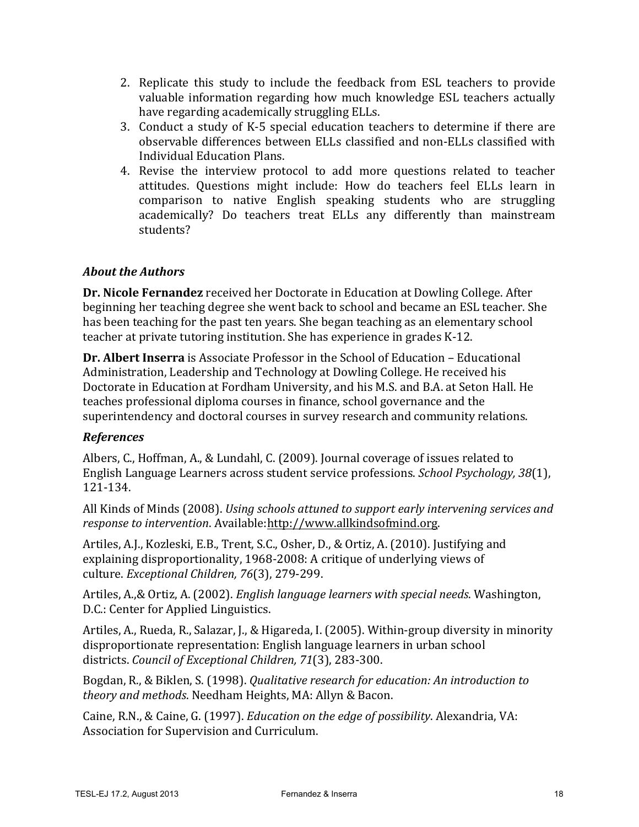- 2. Replicate this study to include the feedback from ESL teachers to provide valuable information regarding how much knowledge ESL teachers actually have regarding academically struggling ELLs.
- 3. Conduct a study of K-5 special education teachers to determine if there are observable differences between ELLs classified and non-ELLs classified with Individual Education Plans.
- 4. Revise the interview protocol to add more questions related to teacher attitudes. Questions might include: How do teachers feel ELLs learn in comparison to native English speaking students who are struggling academically? Do teachers treat ELLs any differently than mainstream students?

## *About the Authors*

**Dr. Nicole Fernandez** received her Doctorate in Education at Dowling College. After beginning her teaching degree she went back to school and became an ESL teacher. She has been teaching for the past ten years. She began teaching as an elementary school teacher at private tutoring institution. She has experience in grades K-12.

**Dr. Albert Inserra** is Associate Professor in the School of Education – Educational Administration, Leadership and Technology at Dowling College. He received his Doctorate in Education at Fordham University, and his M.S. and B.A. at Seton Hall. He teaches professional diploma courses in finance, school governance and the superintendency and doctoral courses in survey research and community relations.

### *References*

Albers, C., Hoffman, A., & Lundahl, C. (2009). Journal coverage of issues related to English Language Learners across student service professions. *School Psychology, 38*(1), 121-134.

All Kinds of Minds (2008). *Using schools attuned to support early intervening services and response to intervention*. Available:http://www.allkindsofmind.org.

Artiles, A.J., Kozleski, E.B., Trent, S.C., Osher, D., & Ortiz, A. (2010). Justifying and explaining disproportionality, 1968-2008: A critique of underlying views of culture. *Exceptional Children, 76*(3), 279-299.

Artiles, A.,& Ortiz, A. (2002). *English language learners with special needs*. Washington, D.C.: Center for Applied Linguistics.

Artiles, A., Rueda, R., Salazar, J., & Higareda, I. (2005). Within-group diversity in minority disproportionate representation: English language learners in urban school districts. *Council of Exceptional Children, 71*(3), 283-300.

Bogdan, R., & Biklen, S. (1998). *Qualitative research for education: An introduction to theory and methods*. Needham Heights, MA: Allyn & Bacon.

Caine, R.N., & Caine, G. (1997). *Education on the edge of possibility*. Alexandria, VA: Association for Supervision and Curriculum.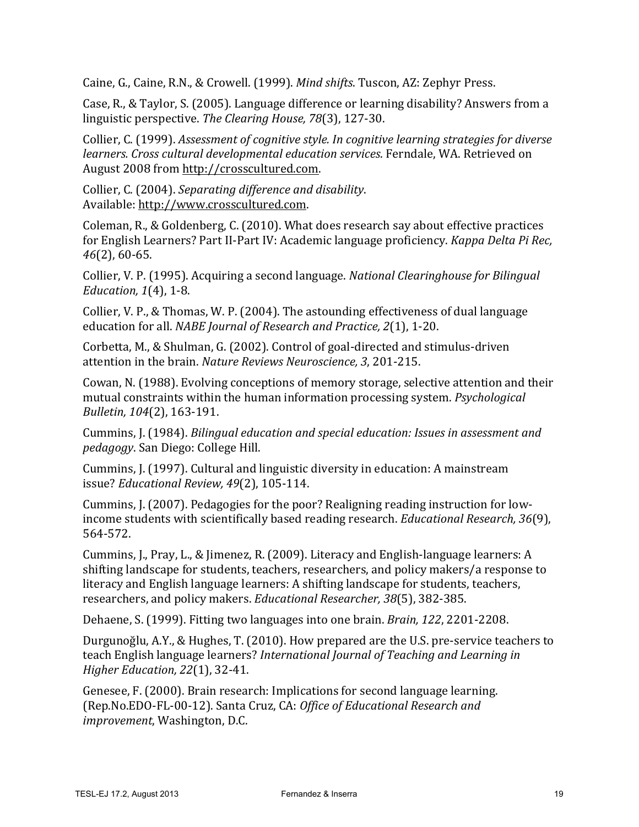Caine, G., Caine, R.N., & Crowell. (1999). *Mind shifts*. Tuscon, AZ: Zephyr Press.

Case, R., & Taylor, S. (2005). Language difference or learning disability? Answers from a linguistic perspective. *The Clearing House, 78*(3), 127-30.

Collier, C. (1999). *Assessment of cognitive style. In cognitive learning strategies for diverse learners. Cross cultural developmental education services*. Ferndale, WA. Retrieved on August 2008 from http://crosscultured.com.

Collier, C. (2004). *Separating difference and disability*. Available: http://www.crosscultured.com.

Coleman, R., & Goldenberg, C. (2010). What does research say about effective practices for English Learners? Part II-Part IV: Academic language proficiency. *Kappa Delta Pi Rec, 46*(2), 60-65.

Collier, V. P. (1995). Acquiring a second language. *National Clearinghouse for Bilingual Education,* 1(4), 1-8.

Collier, V. P., & Thomas, W. P. (2004). The astounding effectiveness of dual language education for all. *NABE Journal of Research and Practice, 2*(1), 1-20.

Corbetta, M., & Shulman, G. (2002). Control of goal-directed and stimulus-driven attention in the brain. *Nature Reviews Neuroscience*, 3, 201-215.

Cowan, N. (1988). Evolving conceptions of memory storage, selective attention and their mutual constraints within the human information processing system. *Psychological Bulletin, 104*(2), 163-191.

Cummins, J. (1984). *Bilingual education and special education: Issues in assessment and pedagogy*. San Diego: College Hill.

Cummins, J. (1997). Cultural and linguistic diversity in education: A mainstream issue? *Educational Review, 49*(2), 105-114.

Cummins, J. (2007). Pedagogies for the poor? Realigning reading instruction for lowincome students with scientifically based reading research. *Educational Research*, 36(9), 564-572.

Cummins, J., Pray, L., & Jimenez, R. (2009). Literacy and English-language learners:  $A$ shifting landscape for students, teachers, researchers, and policy makers/a response to literacy and English language learners: A shifting landscape for students, teachers, researchers, and policy makers. *Educational Researcher*, 38(5), 382-385.

Dehaene, S. (1999). Fitting two languages into one brain. *Brain*, 122, 2201-2208.

Durgunoğlu, A.Y., & Hughes, T. (2010). How prepared are the U.S. pre-service teachers to teach English language learners? *International Journal of Teaching and Learning in Higher Education, 22*(1), 32-41.

Genesee, F. (2000). Brain research: Implications for second language learning. (Rep.No.EDO-FL-00-12). Santa Cruz, CA: *Office of Educational Research and improvement*, Washington, D.C.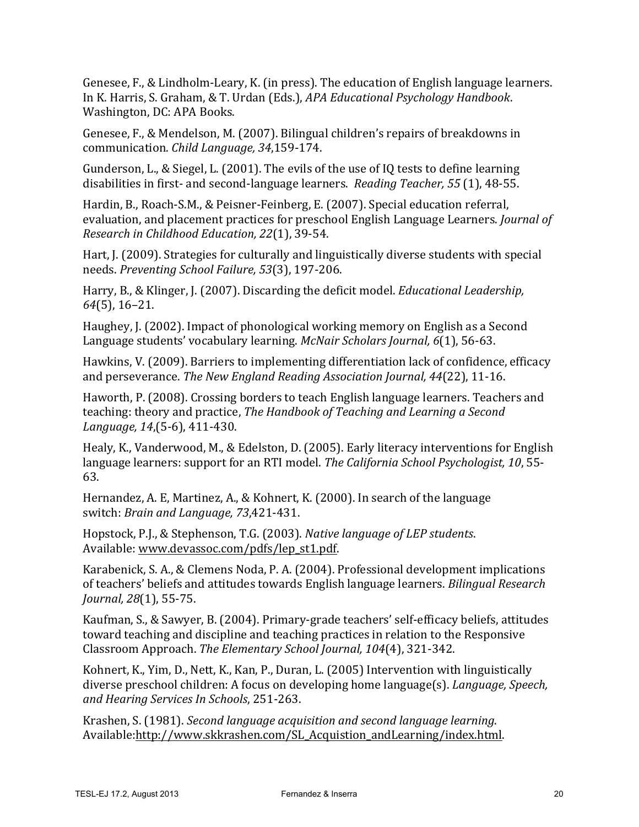Genesee,  $F_{n}$ , & Lindholm-Leary, K. (in press). The education of English language learners. In K. Harris, S. Graham, & T. Urdan (Eds.), *APA Educational Psychology Handbook*. Washington, DC: APA Books.

Genesee, F., & Mendelson, M. (2007). Bilingual children's repairs of breakdowns in communication. *Child Language, 34*,159-174.

Gunderson, L., & Siegel, L. (2001). The evils of the use of IQ tests to define learning disabilities in first- and second-language learners. *Reading Teacher*, 55 (1), 48-55.

Hardin, B., Roach-S.M., & Peisner-Feinberg, E. (2007). Special education referral, evaluation, and placement practices for preschool English Language Learners. *Journal of Research in Childhood Education, 22*(1), 39-54.

Hart, J. (2009). Strategies for culturally and linguistically diverse students with special needs. *Preventing School Failure, 53*(3), 197-206.

Harry, B., & Klinger, J. (2007). Discarding the deficit model. *Educational Leadership*, *64*(5), 16–21.

Haughey, J. (2002). Impact of phonological working memory on English as a Second Language students' vocabulary learning. *McNair Scholars Journal, 6*(1), 56-63.

Hawkins, V. (2009). Barriers to implementing differentiation lack of confidence, efficacy and perseverance. *The New England Reading Association Journal, 44*(22), 11-16.

Haworth, P. (2008). Crossing borders to teach English language learners. Teachers and teaching: theory and practice, *The Handbook of Teaching and Learning a Second Language, 14*,(5-6), 411-430.

Healy, K., Vanderwood, M., & Edelston, D. (2005). Early literacy interventions for English language learners: support for an RTI model. *The California School Psychologist*, 10, 55-63.

Hernandez, A. E, Martinez, A., & Kohnert, K. (2000). In search of the language switch: *Brain and Language, 73*,421-431.

Hopstock, P.J., & Stephenson, T.G. (2003). *Native language of LEP students*. Available: www.devassoc.com/pdfs/lep\_st1.pdf.

Karabenick, S. A., & Clemens Noda, P. A. (2004). Professional development implications of teachers' beliefs and attitudes towards English language learners. *Bilingual Research Journal, 28*(1), 55-75.

Kaufman, S., & Sawyer, B. (2004). Primary-grade teachers' self-efficacy beliefs, attitudes toward teaching and discipline and teaching practices in relation to the Responsive Classroom Approach. *The Elementary School Journal, 104*(4), 321-342.

Kohnert, K., Yim, D., Nett, K., Kan, P., Duran, L. (2005) Intervention with linguistically diverse preschool children: A focus on developing home language(s). *Language, Speech, and Hearing Services In Schools*, 251-263.

Krashen, S. (1981). *Second language acquisition and second language learning*. Available:http://www.skkrashen.com/SL\_Acquistion\_andLearning/index.html.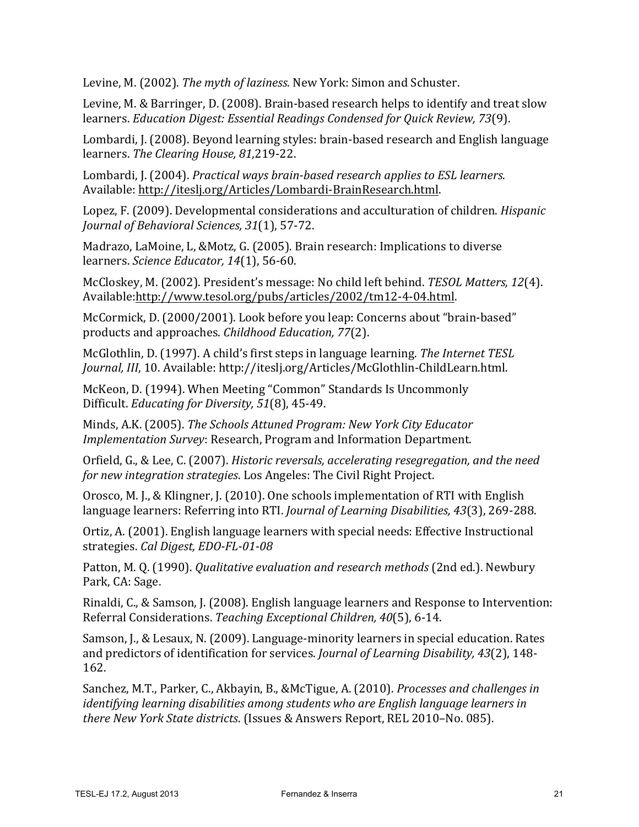Levine, M. (2002). *The myth of laziness*. New York: Simon and Schuster.

Levine, M. & Barringer, D. (2008). Brain-based research helps to identify and treat slow learners. *Education Digest: Essential Readings Condensed for Quick Review, 73*(9).

Lombardi, J. (2008). Beyond learning styles: brain-based research and English language learners. *The Clearing House, 81*,219-22.

Lombardi, J. (2004). *Practical ways brain-based research applies to ESL learners*. Available: http://iteslj.org/Articles/Lombardi-BrainResearch.html.

Lopez, F. (2009). Developmental considerations and acculturation of children. *Hispanic Journal of Behavioral Sciences, 31*(1), 57-72.

Madrazo, LaMoine, L, &Motz, G. (2005). Brain research: Implications to diverse learners. *Science Educator, 14*(1), 56-60.

McCloskey, M. (2002). President's message: No child left behind. *TESOL Matters, 12*(4). Available:http://www.tesol.org/pubs/articles/2002/tm12-4-04.html.

McCormick, D. (2000/2001). Look before you leap: Concerns about "brain-based" products and approaches. *Childhood Education, 77*(2).

McGlothlin, D. (1997). A child's first steps in language learning. *The Internet TESL Journal, III,* 10. Available: http://iteslj.org/Articles/McGlothlin-ChildLearn.html.

McKeon, D. (1994). When Meeting "Common" Standards Is Uncommonly Difficult. *Educating for Diversity, 51*(8), 45-49.

Minds, A.K. (2005). *The Schools Attuned Program: New York City Educator Implementation Survey*: Research, Program and Information Department.

Orfield, G., & Lee, C. (2007). *Historic reversals, accelerating resegregation, and the need for new integration strategies.* Los Angeles: The Civil Right Project.

Orosco, M. I., & Klingner, J. (2010). One schools implementation of RTI with English language learners: Referring into RTI. *Journal of Learning Disabilities, 43*(3), 269-288.

Ortiz, A. (2001). English language learners with special needs: Effective Instructional strategies. *Cal Digest, EDO-FL-01-08*

Patton, M. Q. (1990). *Qualitative evaluation and research methods* (2nd ed.). Newbury Park, CA: Sage.

Rinaldi, C., & Samson, J. (2008). English language learners and Response to Intervention: Referral Considerations. *Teaching Exceptional Children, 40*(5), 6-14.

Samson, J., & Lesaux, N. (2009). Language-minority learners in special education. Rates and predictors of identification for services. *Journal of Learning Disability, 43*(2), 148-162.

Sanchez, M.T., Parker, C., Akbayin, B., &McTigue, A. (2010). *Processes and challenges in identifying learning disabilities among students who are English language learners in there New York State districts*. (Issues & Answers Report, REL 2010–No. 085).